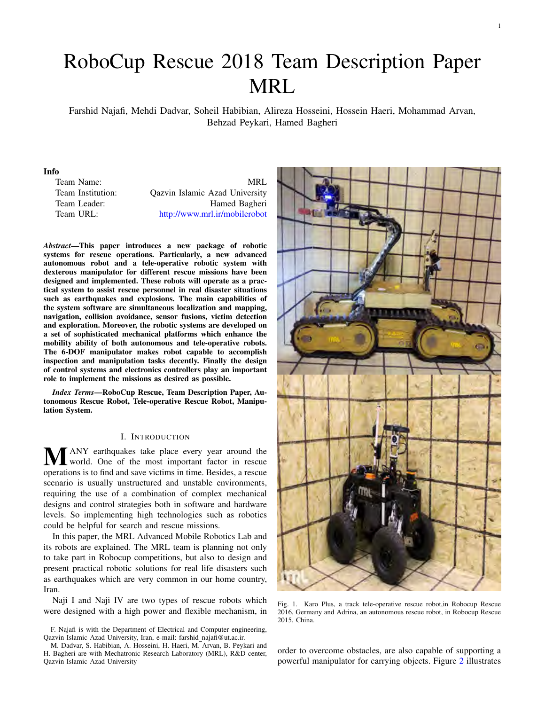# RoboCup Rescue 2018 Team Description Paper MRL

Farshid Najafi, Mehdi Dadvar, Soheil Habibian, Alireza Hosseini, Hossein Haeri, Mohammad Arvan, Behzad Peykari, Hamed Bagheri

#### Info

Team Name: MRL Team Institution: Qazvin Islamic Azad University Team Leader: Hamed Bagheri Team URL: http://www.mrl.ir/mobilerobot

*Abstract*—This paper introduces a new package of robotic systems for rescue operations. Particularly, a new advanced autonomous robot and a tele-operative robotic system with dexterous manipulator for different rescue missions have been designed and implemented. These robots will operate as a practical system to assist rescue personnel in real disaster situations such as earthquakes and explosions. The main capabilities of the system software are simultaneous localization and mapping, navigation, collision avoidance, sensor fusions, victim detection and exploration. Moreover, the robotic systems are developed on a set of sophisticated mechanical platforms which enhance the mobility ability of both autonomous and tele-operative robots. The 6-DOF manipulator makes robot capable to accomplish inspection and manipulation tasks decently. Finally the design of control systems and electronics controllers play an important role to implement the missions as desired as possible.

*Index Terms*—RoboCup Rescue, Team Description Paper, Autonomous Rescue Robot, Tele-operative Rescue Robot, Manipulation System.

## I. INTRODUCTION

**MANY** earthquakes take place every year around the world. One of the most important factor in rescue operations is to find and save victims in time. Besides, a rescue scenario is usually unstructured and unstable environments, requiring the use of a combination of complex mechanical designs and control strategies both in software and hardware levels. So implementing high technologies such as robotics could be helpful for search and rescue missions.

In this paper, the MRL Advanced Mobile Robotics Lab and its robots are explained. The MRL team is planning not only to take part in Robocup competitions, but also to design and present practical robotic solutions for real life disasters such as earthquakes which are very common in our home country, Iran.

Naji I and Naji IV are two types of rescue robots which were designed with a high power and flexible mechanism, in



Fig. 1. Karo Plus, a track tele-operative rescue robot,in Robocup Rescue 2016, Germany and Adrina, an autonomous rescue robot, in Robocup Rescue 2015, China.

order to overcome obstacles, are also capable of supporting a powerful manipulator for carrying objects. Figure 2 illustrates

F. Najafi is with the Department of Electrical and Computer engineering, Qazvin Islamic Azad University, Iran, e-mail: farshid\_najafi@ut.ac.ir.

M. Dadvar, S. Habibian, A. Hosseini, H. Haeri, M. Arvan, B. Peykari and H. Bagheri are with Mechatronic Research Laboratory (MRL), R&D center, Qazvin Islamic Azad University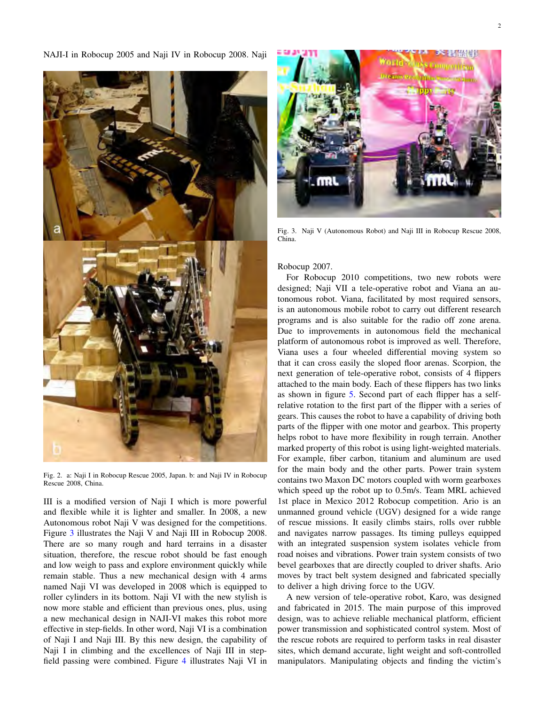NAJI-I in Robocup 2005 and Naji IV in Robocup 2008. Naji



Fig. 2. a: Naji I in Robocup Rescue 2005, Japan. b: and Naji IV in Robocup Rescue 2008, China.

III is a modified version of Naji I which is more powerful and flexible while it is lighter and smaller. In 2008, a new Autonomous robot Naji V was designed for the competitions. Figure 3 illustrates the Naji V and Naji III in Robocup 2008. There are so many rough and hard terrains in a disaster situation, therefore, the rescue robot should be fast enough and low weigh to pass and explore environment quickly while remain stable. Thus a new mechanical design with 4 arms named Naji VI was developed in 2008 which is equipped to roller cylinders in its bottom. Naji VI with the new stylish is now more stable and efficient than previous ones, plus, using a new mechanical design in NAJI-VI makes this robot more effective in step-fields. In other word, Naji VI is a combination of Naji I and Naji III. By this new design, the capability of Naji I in climbing and the excellences of Naji III in stepfield passing were combined. Figure 4 illustrates Naji VI in



Fig. 3. Naji V (Autonomous Robot) and Naji III in Robocup Rescue 2008, China.

## Robocup 2007.

For Robocup 2010 competitions, two new robots were designed; Naji VII a tele-operative robot and Viana an autonomous robot. Viana, facilitated by most required sensors, is an autonomous mobile robot to carry out different research programs and is also suitable for the radio off zone arena. Due to improvements in autonomous field the mechanical platform of autonomous robot is improved as well. Therefore, Viana uses a four wheeled differential moving system so that it can cross easily the sloped floor arenas. Scorpion, the next generation of tele-operative robot, consists of 4 flippers attached to the main body. Each of these flippers has two links as shown in figure 5. Second part of each flipper has a selfrelative rotation to the first part of the flipper with a series of gears. This causes the robot to have a capability of driving both parts of the flipper with one motor and gearbox. This property helps robot to have more flexibility in rough terrain. Another marked property of this robot is using light-weighted materials. For example, fiber carbon, titanium and aluminum are used for the main body and the other parts. Power train system contains two Maxon DC motors coupled with worm gearboxes which speed up the robot up to 0.5m/s. Team MRL achieved 1st place in Mexico 2012 Robocup competition. Ario is an unmanned ground vehicle (UGV) designed for a wide range of rescue missions. It easily climbs stairs, rolls over rubble and navigates narrow passages. Its timing pulleys equipped with an integrated suspension system isolates vehicle from road noises and vibrations. Power train system consists of two bevel gearboxes that are directly coupled to driver shafts. Ario moves by tract belt system designed and fabricated specially to deliver a high driving force to the UGV.

A new version of tele-operative robot, Karo, was designed and fabricated in 2015. The main purpose of this improved design, was to achieve reliable mechanical platform, efficient power transmission and sophisticated control system. Most of the rescue robots are required to perform tasks in real disaster sites, which demand accurate, light weight and soft-controlled manipulators. Manipulating objects and finding the victim's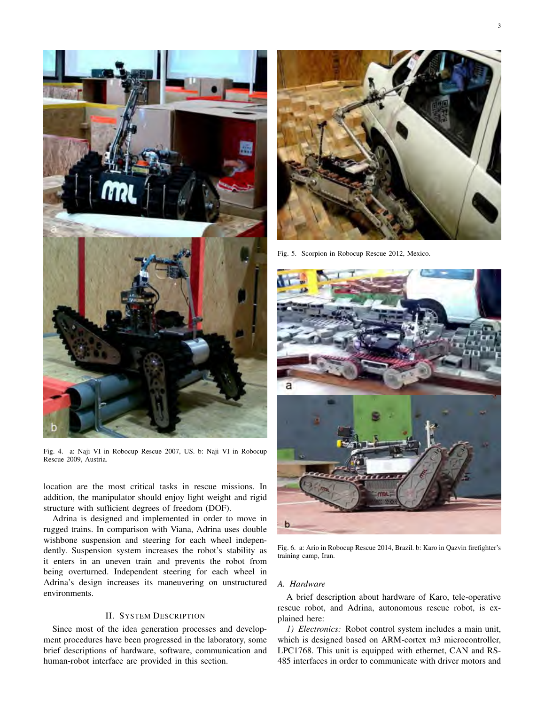

Fig. 4. a: Naji VI in Robocup Rescue 2007, US. b: Naji VI in Robocup Rescue 2009, Austria.

location are the most critical tasks in rescue missions. In addition, the manipulator should enjoy light weight and rigid structure with sufficient degrees of freedom (DOF).

Adrina is designed and implemented in order to move in rugged trains. In comparison with Viana, Adrina uses double wishbone suspension and steering for each wheel independently. Suspension system increases the robot's stability as it enters in an uneven train and prevents the robot from being overturned. Independent steering for each wheel in Adrina's design increases its maneuvering on unstructured environments.

# II. SYSTEM DESCRIPTION

Since most of the idea generation processes and development procedures have been progressed in the laboratory, some brief descriptions of hardware, software, communication and human-robot interface are provided in this section.



Fig. 5. Scorpion in Robocup Rescue 2012, Mexico.



Fig. 6. a: Ario in Robocup Rescue 2014, Brazil. b: Karo in Qazvin firefighter's training camp, Iran.

# *A. Hardware*

A brief description about hardware of Karo, tele-operative rescue robot, and Adrina, autonomous rescue robot, is explained here:

*1) Electronics:* Robot control system includes a main unit, which is designed based on ARM-cortex m3 microcontroller, LPC1768. This unit is equipped with ethernet, CAN and RS-485 interfaces in order to communicate with driver motors and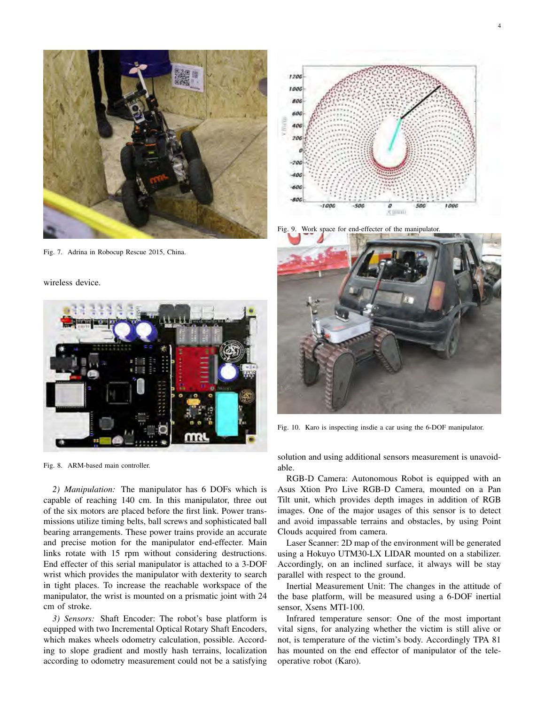

Fig. 7. Adrina in Robocup Rescue 2015, China.

wireless device.



Fig. 8. ARM-based main controller.

*2) Manipulation:* The manipulator has 6 DOFs which is capable of reaching 140 cm. In this manipulator, three out of the six motors are placed before the first link. Power transmissions utilize timing belts, ball screws and sophisticated ball bearing arrangements. These power trains provide an accurate and precise motion for the manipulator end-effecter. Main links rotate with 15 rpm without considering destructions. End effecter of this serial manipulator is attached to a 3-DOF wrist which provides the manipulator with dexterity to search in tight places. To increase the reachable workspace of the manipulator, the wrist is mounted on a prismatic joint with 24 cm of stroke.

*3) Sensors:* Shaft Encoder: The robot's base platform is equipped with two Incremental Optical Rotary Shaft Encoders, which makes wheels odometry calculation, possible. According to slope gradient and mostly hash terrains, localization according to odometry measurement could not be a satisfying



4

Fig. 9. Work space for end-effecter of the manipulator.



Fig. 10. Karo is inspecting insdie a car using the 6-DOF manipulator.

solution and using additional sensors measurement is unavoidable.

RGB-D Camera: Autonomous Robot is equipped with an Asus Xtion Pro Live RGB-D Camera, mounted on a Pan Tilt unit, which provides depth images in addition of RGB images. One of the major usages of this sensor is to detect and avoid impassable terrains and obstacles, by using Point Clouds acquired from camera.

Laser Scanner: 2D map of the environment will be generated using a Hokuyo UTM30-LX LIDAR mounted on a stabilizer. Accordingly, on an inclined surface, it always will be stay parallel with respect to the ground.

Inertial Measurement Unit: The changes in the attitude of the base platform, will be measured using a 6-DOF inertial sensor, Xsens MTI-100.

Infrared temperature sensor: One of the most important vital signs, for analyzing whether the victim is still alive or not, is temperature of the victim's body. Accordingly TPA 81 has mounted on the end effector of manipulator of the teleoperative robot (Karo).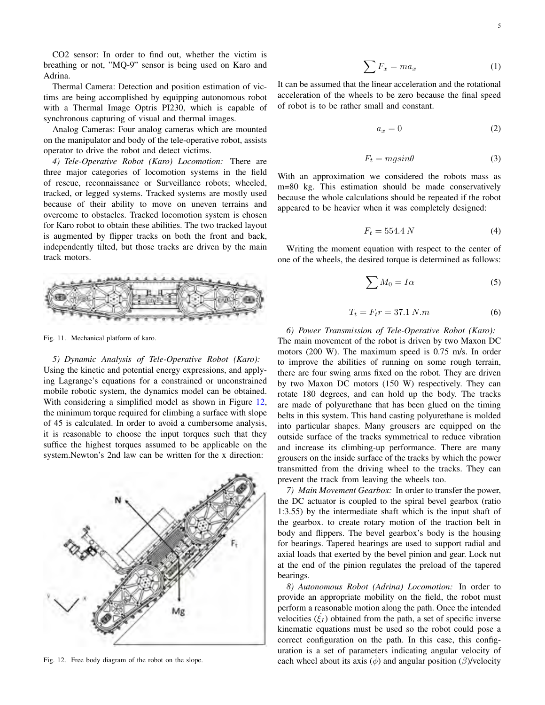CO2 sensor: In order to find out, whether the victim is breathing or not, "MQ-9" sensor is being used on Karo and Adrina.

Thermal Camera: Detection and position estimation of victims are being accomplished by equipping autonomous robot with a Thermal Image Optris PI230, which is capable of synchronous capturing of visual and thermal images.

Analog Cameras: Four analog cameras which are mounted on the manipulator and body of the tele-operative robot, assists operator to drive the robot and detect victims.

*4) Tele-Operative Robot (Karo) Locomotion:* There are three major categories of locomotion systems in the field of rescue, reconnaissance or Surveillance robots; wheeled, tracked, or legged systems. Tracked systems are mostly used because of their ability to move on uneven terrains and overcome to obstacles. Tracked locomotion system is chosen for Karo robot to obtain these abilities. The two tracked layout is augmented by flipper tracks on both the front and back, independently tilted, but those tracks are driven by the main track motors.



Fig. 11. Mechanical platform of karo.

*5) Dynamic Analysis of Tele-Operative Robot (Karo):* Using the kinetic and potential energy expressions, and applying Lagrange's equations for a constrained or unconstrained mobile robotic system, the dynamics model can be obtained. With considering a simplified model as shown in Figure 12, the minimum torque required for climbing a surface with slope of 45 is calculated. In order to avoid a cumbersome analysis, it is reasonable to choose the input torques such that they suffice the highest torques assumed to be applicable on the system.Newton's 2nd law can be written for the x direction:



Fig. 12. Free body diagram of the robot on the slope.

$$
\sum F_x = ma_x \tag{1}
$$

It can be assumed that the linear acceleration and the rotational acceleration of the wheels to be zero because the final speed of robot is to be rather small and constant.

$$
a_x = 0 \tag{2}
$$

$$
F_t = mg\sin\theta\tag{3}
$$

With an approximation we considered the robots mass as m=80 kg. This estimation should be made conservatively because the whole calculations should be repeated if the robot appeared to be heavier when it was completely designed:

$$
F_t = 554.4 N \tag{4}
$$

Writing the moment equation with respect to the center of one of the wheels, the desired torque is determined as follows:

$$
\sum M_0 = I\alpha \tag{5}
$$

$$
T_t = F_t r = 37.1 N.m
$$
 (6)

# *6) Power Transmission of Tele-Operative Robot (Karo):* The main movement of the robot is driven by two Maxon DC motors (200 W). The maximum speed is 0.75 m/s. In order to improve the abilities of running on some rough terrain, there are four swing arms fixed on the robot. They are driven by two Maxon DC motors (150 W) respectively. They can rotate 180 degrees, and can hold up the body. The tracks are made of polyurethane that has been glued on the timing belts in this system. This hand casting polyurethane is molded into particular shapes. Many grousers are equipped on the outside surface of the tracks symmetrical to reduce vibration and increase its climbing-up performance. There are many grousers on the inside surface of the tracks by which the power transmitted from the driving wheel to the tracks. They can

*7) Main Movement Gearbox:* In order to transfer the power, the DC actuator is coupled to the spiral bevel gearbox (ratio 1:3.55) by the intermediate shaft which is the input shaft of the gearbox. to create rotary motion of the traction belt in body and flippers. The bevel gearbox's body is the housing for bearings. Tapered bearings are used to support radial and axial loads that exerted by the bevel pinion and gear. Lock nut at the end of the pinion regulates the preload of the tapered bearings.

*8) Autonomous Robot (Adrina) Locomotion:* In order to provide an appropriate mobility on the field, the robot must perform a reasonable motion along the path. Once the intended velocities  $(\xi_I)$  obtained from the path, a set of specific inverse kinematic equations must be used so the robot could pose a correct configuration on the path. In this case, this configuration is a set of parameters indicating angular velocity of each wheel about its axis  $(\phi)$  and angular position  $(\beta)$ /velocity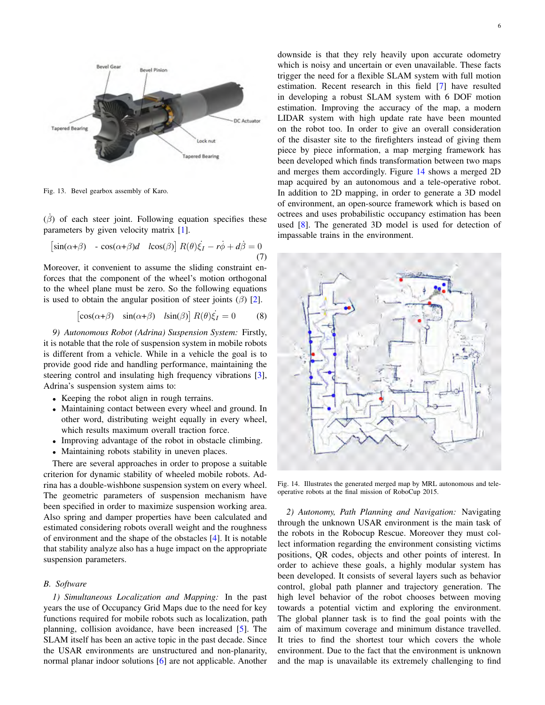

Fig. 13. Bevel gearbox assembly of Karo.

 $(\dot{\beta})$  of each steer joint. Following equation specifies these parameters by given velocity matrix [1].

$$
\begin{bmatrix} \sin(\alpha+\beta) & -\cos(\alpha+\beta)d & \cos(\beta) \end{bmatrix} R(\theta)\dot{\xi}_I - r\dot{\phi} + d\dot{\beta} = 0 \tag{7}
$$

Moreover, it convenient to assume the sliding constraint enforces that the component of the wheel's motion orthogonal to the wheel plane must be zero. So the following equations is used to obtain the angular position of steer joints  $(\beta)$  [2].

$$
\begin{bmatrix} \cos(\alpha+\beta) & \sin(\alpha+\beta) & l\sin(\beta) \end{bmatrix} R(\theta)\dot{\xi}_I = 0 \tag{8}
$$

*9) Autonomous Robot (Adrina) Suspension System:* Firstly, it is notable that the role of suspension system in mobile robots is different from a vehicle. While in a vehicle the goal is to provide good ride and handling performance, maintaining the steering control and insulating high frequency vibrations [3], Adrina's suspension system aims to:

- *•* Keeping the robot align in rough terrains.
- *•* Maintaining contact between every wheel and ground. In other word, distributing weight equally in every wheel, which results maximum overall traction force.
- *•* Improving advantage of the robot in obstacle climbing.
- Maintaining robots stability in uneven places.

There are several approaches in order to propose a suitable criterion for dynamic stability of wheeled mobile robots. Adrina has a double-wishbone suspension system on every wheel. The geometric parameters of suspension mechanism have been specified in order to maximize suspension working area. Also spring and damper properties have been calculated and estimated considering robots overall weight and the roughness of environment and the shape of the obstacles [4]. It is notable that stability analyze also has a huge impact on the appropriate suspension parameters.

## *B. Software*

*1) Simultaneous Localization and Mapping:* In the past years the use of Occupancy Grid Maps due to the need for key functions required for mobile robots such as localization, path planning, collision avoidance, have been increased [5]. The SLAM itself has been an active topic in the past decade. Since the USAR environments are unstructured and non-planarity, normal planar indoor solutions [6] are not applicable. Another downside is that they rely heavily upon accurate odometry which is noisy and uncertain or even unavailable. These facts trigger the need for a flexible SLAM system with full motion estimation. Recent research in this field [7] have resulted in developing a robust SLAM system with 6 DOF motion estimation. Improving the accuracy of the map, a modern LIDAR system with high update rate have been mounted on the robot too. In order to give an overall consideration of the disaster site to the firefighters instead of giving them piece by piece information, a map merging framework has been developed which finds transformation between two maps and merges them accordingly. Figure 14 shows a merged 2D map acquired by an autonomous and a tele-operative robot. In addition to 2D mapping, in order to generate a 3D model of environment, an open-source framework which is based on octrees and uses probabilistic occupancy estimation has been used [8]. The generated 3D model is used for detection of impassable trains in the environment.



Fig. 14. Illustrates the generated merged map by MRL autonomous and teleoperative robots at the final mission of RoboCup 2015.

*2) Autonomy, Path Planning and Navigation:* Navigating through the unknown USAR environment is the main task of the robots in the Robocup Rescue. Moreover they must collect information regarding the environment consisting victims positions, QR codes, objects and other points of interest. In order to achieve these goals, a highly modular system has been developed. It consists of several layers such as behavior control, global path planner and trajectory generation. The high level behavior of the robot chooses between moving towards a potential victim and exploring the environment. The global planner task is to find the goal points with the aim of maximum coverage and minimum distance travelled. It tries to find the shortest tour which covers the whole environment. Due to the fact that the environment is unknown and the map is unavailable its extremely challenging to find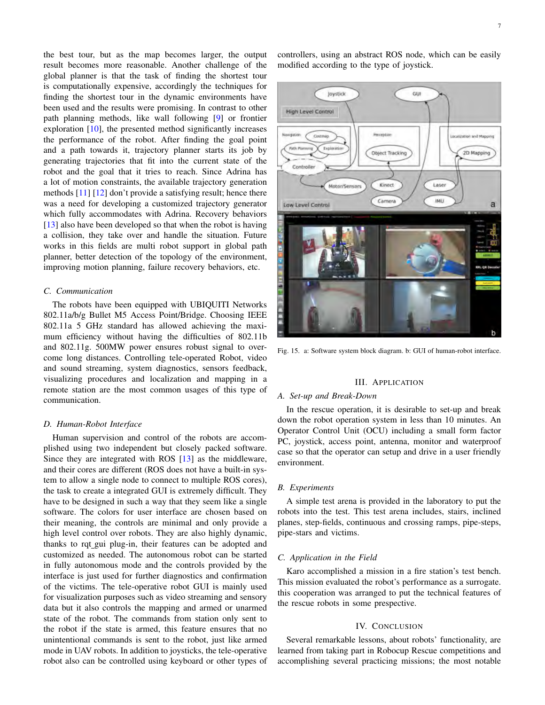the best tour, but as the map becomes larger, the output result becomes more reasonable. Another challenge of the global planner is that the task of finding the shortest tour is computationally expensive, accordingly the techniques for finding the shortest tour in the dynamic environments have been used and the results were promising. In contrast to other path planning methods, like wall following [9] or frontier exploration [10], the presented method significantly increases the performance of the robot. After finding the goal point and a path towards it, trajectory planner starts its job by generating trajectories that fit into the current state of the robot and the goal that it tries to reach. Since Adrina has a lot of motion constraints, the available trajectory generation methods [11] [12] don't provide a satisfying result; hence there was a need for developing a customized trajectory generator which fully accommodates with Adrina. Recovery behaviors [13] also have been developed so that when the robot is having a collision, they take over and handle the situation. Future works in this fields are multi robot support in global path planner, better detection of the topology of the environment, improving motion planning, failure recovery behaviors, etc.

# *C. Communication*

The robots have been equipped with UBIQUITI Networks 802.11a/b/g Bullet M5 Access Point/Bridge. Choosing IEEE 802.11a 5 GHz standard has allowed achieving the maximum efficiency without having the difficulties of 802.11b and 802.11g. 500MW power ensures robust signal to overcome long distances. Controlling tele-operated Robot, video and sound streaming, system diagnostics, sensors feedback, visualizing procedures and localization and mapping in a remote station are the most common usages of this type of communication.

# *D. Human-Robot Interface*

Human supervision and control of the robots are accomplished using two independent but closely packed software. Since they are integrated with ROS [13] as the middleware, and their cores are different (ROS does not have a built-in system to allow a single node to connect to multiple ROS cores), the task to create a integrated GUI is extremely difficult. They have to be designed in such a way that they seem like a single software. The colors for user interface are chosen based on their meaning, the controls are minimal and only provide a high level control over robots. They are also highly dynamic, thanks to rqt gui plug-in, their features can be adopted and customized as needed. The autonomous robot can be started in fully autonomous mode and the controls provided by the interface is just used for further diagnostics and confirmation of the victims. The tele-operative robot GUI is mainly used for visualization purposes such as video streaming and sensory data but it also controls the mapping and armed or unarmed state of the robot. The commands from station only sent to the robot if the state is armed, this feature ensures that no unintentional commands is sent to the robot, just like armed mode in UAV robots. In addition to joysticks, the tele-operative robot also can be controlled using keyboard or other types of controllers, using an abstract ROS node, which can be easily modified according to the type of joystick.



Fig. 15. a: Software system block diagram. b: GUI of human-robot interface.

# III. APPLICATION

## *A. Set-up and Break-Down*

In the rescue operation, it is desirable to set-up and break down the robot operation system in less than 10 minutes. An Operator Control Unit (OCU) including a small form factor PC, joystick, access point, antenna, monitor and waterproof case so that the operator can setup and drive in a user friendly environment.

#### *B. Experiments*

A simple test arena is provided in the laboratory to put the robots into the test. This test arena includes, stairs, inclined planes, step-fields, continuous and crossing ramps, pipe-steps, pipe-stars and victims.

# *C. Application in the Field*

Karo accomplished a mission in a fire station's test bench. This mission evaluated the robot's performance as a surrogate. this cooperation was arranged to put the technical features of the rescue robots in some prespective.

## IV. CONCLUSION

Several remarkable lessons, about robots' functionality, are learned from taking part in Robocup Rescue competitions and accomplishing several practicing missions; the most notable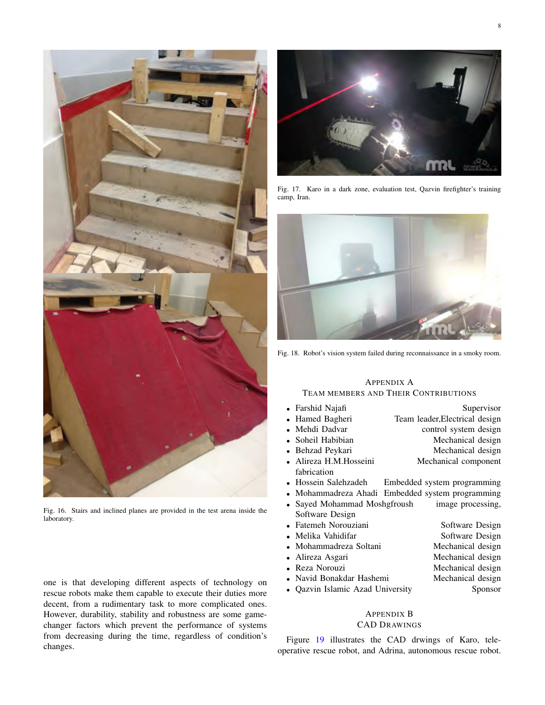

Fig. 16. Stairs and inclined planes are provided in the test arena inside the laboratory.

one is that developing different aspects of technology on rescue robots make them capable to execute their duties more decent, from a rudimentary task to more complicated ones. However, durability, stability and robustness are some gamechanger factors which prevent the performance of systems from decreasing during the time, regardless of condition's changes.



Fig. 17. Karo in a dark zone, evaluation test, Qazvin firefighter's training camp, Iran.



Fig. 18. Robot's vision system failed during reconnaissance in a smoky room.

# APPENDIX A TEAM MEMBERS AND THEIR CONTRIBUTIONS

| • Farshid Najafi                 | Supervisor                                       |
|----------------------------------|--------------------------------------------------|
| • Hamed Bagheri                  | Team leader, Electrical design                   |
| • Mehdi Dadvar                   | control system design                            |
| • Soheil Habibian                | Mechanical design                                |
| • Behzad Peykari                 | Mechanical design                                |
| • Alireza H.M.Hosseini           | Mechanical component                             |
| fabrication                      |                                                  |
| • Hossein Salehzadeh             | Embedded system programming                      |
|                                  | • Mohammadreza Ahadi Embedded system programming |
| • Sayed Mohammad Moshgfroush     | image processing,                                |
| Software Design                  |                                                  |
| • Fatemeh Norouziani             | Software Design                                  |
| • Melika Vahidifar               | Software Design                                  |
| • Mohammadreza Soltani           | Mechanical design                                |
| • Alireza Asgari                 | Mechanical design                                |
| • Reza Norouzi                   | Mechanical design                                |
| • Navid Bonakdar Hashemi         | Mechanical design                                |
| • Qazvin Islamic Azad University | Sponsor                                          |
|                                  |                                                  |

# APPENDIX B

# CAD DRAWINGS

Figure 19 illustrates the CAD drwings of Karo, teleoperative rescue robot, and Adrina, autonomous rescue robot.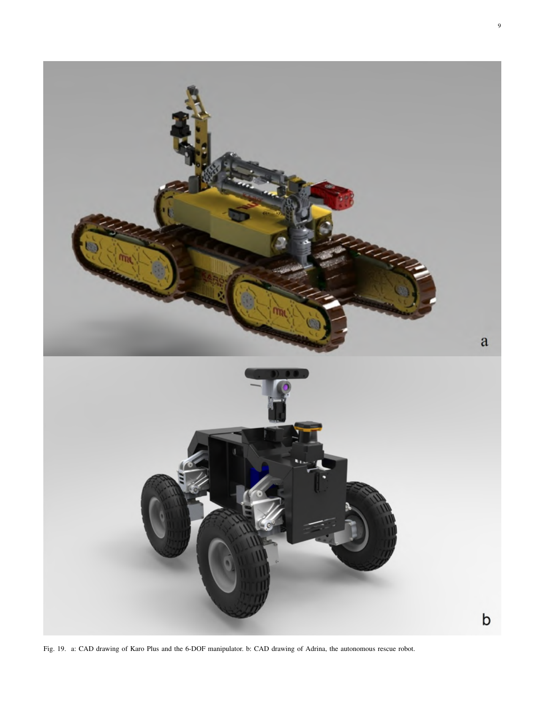

Fig. 19. a: CAD drawing of Karo Plus and the 6-DOF manipulator. b: CAD drawing of Adrina, the autonomous rescue robot.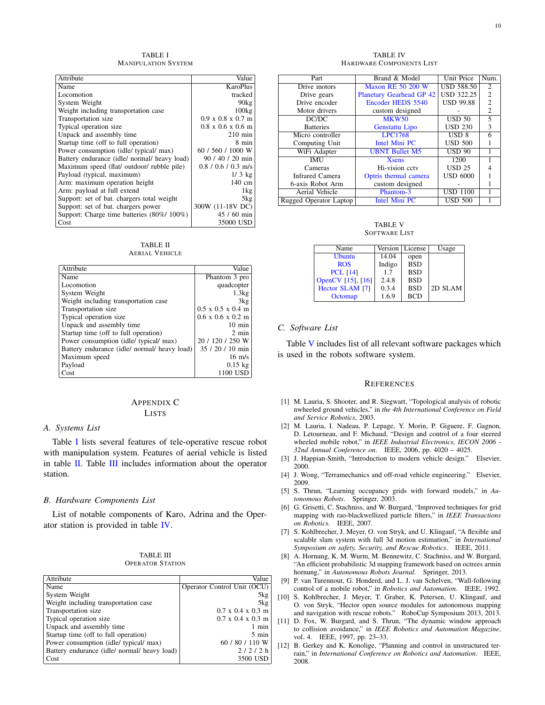TABLE I MANIPULATION SYSTEM

| Attribute                                    | Value                                 |
|----------------------------------------------|---------------------------------------|
| Name                                         | <b>KaroPlus</b>                       |
| Locomotion                                   | tracked                               |
| System Weight                                | 90kg                                  |
| Weight including transportation case         | 100kg                                 |
| Transportation size                          | $0.9 \times 0.8 \times 0.7$ m         |
| Typical operation size                       | $0.8 \times 0.6 \times 0.6 \text{ m}$ |
| Unpack and assembly time                     | $210$ min                             |
| Startup time (off to full operation)         | 8 min                                 |
| Power consumption (idle/ typical/ max)       | 60 / 560 / 1000 W                     |
| Battery endurance (idle/ normal/ heavy load) | $90/40/20$ min                        |
| Maximum speed (flat/ outdoor/ rubble pile)   | $0.8 / 0.6 / 0.3$ m/s                 |
| Payload (typical, maximum)                   | $1/3$ kg                              |
| Arm: maximum operation height                | $140 \text{ cm}$                      |
| Arm: payload at full extend                  | 1kg                                   |
| Support: set of bat. chargers total weight   | 5 <sub>kg</sub>                       |
| Support: set of bat. chargers power          | 300W (11-18V DC)                      |
| Support: Charge time batteries (80%/ 100%)   | $45/60$ min                           |
| Cost                                         | 35000 USD                             |

TABLE II AERIAL VEHICLE

| Attribute                                    | Value                                 |
|----------------------------------------------|---------------------------------------|
| Name                                         | Phantom 3 pro                         |
| Locomotion                                   | quadcopter                            |
| System Weight                                | 1.3kg                                 |
| Weight including transportation case         | 3kg                                   |
| Transportation size                          | $0.5 \times 0.5 \times 0.4 \text{ m}$ |
| Typical operation size                       | $0.6 \times 0.6 \times 0.2 \text{ m}$ |
| Unpack and assembly time                     | $10 \text{ min}$                      |
| Startup time (off to full operation)         | $2 \text{ min}$                       |
| Power consumption (idle/ typical/ max)       | 20 / 120 / 250 W                      |
| Battery endurance (idle/ normal/ heavy load) | 35 / 20 / 10 min                      |
| Maximum speed                                | $16 \text{ m/s}$                      |
| Payload                                      | $0.15$ kg                             |
| Cost                                         | 1100 USD                              |

# APPENDIX C

#### LISTS

#### *A. Systems List*

Table I lists several features of tele-operative rescue robot with manipulation system. Features of aerial vehicle is listed in table II. Table III includes information about the operator station.

## *B. Hardware Components List*

List of notable components of Karo, Adrina and the Operator station is provided in table IV.

| TABLE III               |  |
|-------------------------|--|
| <b>OPERATOR STATION</b> |  |

| Attribute                                    | Value                                 |
|----------------------------------------------|---------------------------------------|
| Name                                         | Operator Control Unit (OCU)           |
| System Weight                                | 5kg                                   |
| Weight including transportation case         | 5kg                                   |
| Transportation size                          | $0.7 \times 0.4 \times 0.3 \text{ m}$ |
| Typical operation size                       | $0.7 \times 0.4 \times 0.3 \text{ m}$ |
| Unpack and assembly time                     | 1 min                                 |
| Startup time (off to full operation)         | $5 \text{ min}$                       |
| Power consumption (idle/ typical/ max)       | 60 / 80 / 110 W                       |
| Battery endurance (idle/ normal/ heavy load) | 2/2/2h                                |
| Cost                                         | 3500 USD                              |

TABLE IV HARDWARE COMPONENTS LIST

| Part                                     | Brand & Model                   |                     | Num.           |
|------------------------------------------|---------------------------------|---------------------|----------------|
| <b>Maxon RE 50 200 W</b><br>Drive motors |                                 | <b>USD 588.50</b>   | 2              |
| Drive gears                              | <b>Planetary Gearhead GP 42</b> | <b>USD 322.25</b>   | $\overline{c}$ |
| Drive encoder                            | Encoder HEDS 5540               | <b>USD 99.88</b>    | $\overline{c}$ |
| Motor drivers                            | custom designed                 |                     | $\overline{c}$ |
| DC/DC                                    | <b>MKW50</b>                    | $\overline{USD}$ 50 | 5              |
| <b>Batteries</b>                         | Genstattu Lipo                  | <b>USD 230</b>      | 3              |
| Micro controller                         | <b>LPC1768</b>                  | $\overline{USD 8}$  | 6              |
| Computing Unit                           | Intel Mini PC                   | <b>USD 500</b>      |                |
| WiFi Adapter                             | <b>UBNT Bullet M5</b>           | <b>USD 90</b>       |                |
| <b>IMU</b>                               | <b>X</b> sens                   | 1200                |                |
| Cameras                                  | Hi-vision cctv                  | <b>USD 25</b>       |                |
| <b>Infrared Camera</b>                   | Optris thermal camera           | <b>USD 6000</b>     |                |
| 6-axis Robot Arm                         | custom designed                 |                     |                |
| Aerial Vehicle                           | Phantom-3                       | <b>USD 1100</b>     |                |
| Rugged Operator Laptop                   | <b>Intel Mini PC</b>            | <b>USD 500</b>      |                |

TABLE V SOFTWARE LIST

| Name              | Version | License    | Usage   |
|-------------------|---------|------------|---------|
| <b>Ubuntu</b>     | 14.04   | open       |         |
| <b>ROS</b>        | Indigo  | <b>BSD</b> |         |
| <b>PCL [14]</b>   | 1.7     | <b>BSD</b> |         |
| OpenCV [15], [16] | 2.4.8   | <b>BSD</b> |         |
| Hector SLAM [7]   | 0.3.4   | <b>BSD</b> | 2D SLAM |
| Octomap           | 1.6.9   | <b>BCD</b> |         |

## *C. Software List*

Table V includes list of all relevant software packages which is used in the robots software system.

#### **REFERENCES**

- [1] M. Lauria, S. Shooter, and R. Siegwart, "Topological analysis of robotic nwheeled ground vehicles," in *the 4th International Conference on Field and Service Robotics*, 2003.
- [2] M. Lauria, I. Nadeau, P. Lepage, Y. Morin, P. Giguere, F. Gagnon, D. Letourneau, and F. Michaud, "Design and control of a four steered wheeled mobile robot," in *IEEE Industrial Electronics, IECON 2006 - 32nd Annual Conference on*. IEEE, 2006, pp. 4020 – 4025.
- [3] J. Happian-Smith, "Introduction to modern vehicle design." Elsevier, 2000.
- [4] J. Wong, "Terramechanics and off-road vehicle engineering." Elsevier, 2009.
- [5] S. Thrun, "Learning occupancy grids with forward models," in *Autonomous Robots*. Springer, 2003.
- [6] G. Grisetti, C. Stachniss, and W. Burgard, "Improved techniques for grid mapping with rao-blackwellized particle filters," in *IEEE Transactions on Robotics*. IEEE, 2007.
- [7] S. Kohlbrecher, J. Meyer, O. von Stryk, and U. Klingauf, "A flexible and scalable slam system with full 3d motion estimation," in *International Symposium on safety, Security, and Rescue Robotics*. IEEE, 2011.
- [8] A. Hornung, K. M. Wurm, M. Bennewitz, C. Stachniss, and W. Burgard, "An efficient probabilistic 3d mapping framework based on octrees armin hornung," in *Autonomous Robots Journal*. Springer, 2013.
- [9] P. van Turennout, G. Honderd, and L. J. van Schelven, "Wall-following control of a mobile robot," in *Robotics and Automation*. IEEE, 1992.
- [10] S. Kohlbrecher, J. Meyer, T. Graber, K. Petersen, U. Klingauf, and O. von Stryk, "Hector open source modules for autonomous mapping and navigation with rescue robots." RoboCup Symposium 2013, 2013.
- [11] D. Fox, W. Burgard, and S. Thrun, "The dynamic window approach to collision avoidance," in *IEEE Robotics and Automation Magazine*, vol. 4. IEEE, 1997, pp. 23–33.
- [12] B. Gerkey and K. Konolige, "Planning and control in unstructured terrain," in *International Conference on Robotics and Automation*. IEEE, 2008.